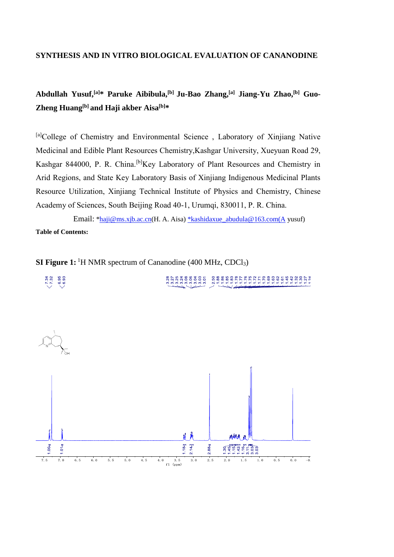### **SYNTHESIS AND IN VITRO BIOLOGICAL EVALUATION OF CANANODINE**

# **Abdullah Yusuf,[a]\* Paruke Aibibula,[b] Ju-Bao Zhang,[a] Jiang-Yu Zhao,[b] Guo-Zheng Huang[b] and Haji akber Aisa[b]\***

[a]College of Chemistry and Environmental Science , Laboratory of Xinjiang Native Medicinal and Edible Plant Resources Chemistry,Kashgar University, Xueyuan Road 29, Kashgar 844000, P. R. China.<sup>[b]</sup>Key Laboratory of Plant Resources and Chemistry in Arid Regions, and State Key Laboratory Basis of Xinjiang Indigenous Medicinal Plants Resource Utilization, Xinjiang Technical Institute of Physics and Chemistry, Chinese Academy of Sciences, South Beijing Road 40-1, Urumqi, 830011, P. R. China.

Email: [\\*haji@ms.xjb.ac.cn\(](mailto:haji@ms.xjb.ac.cn)H. A. Aisa) [\\*kashidaxue\\_abudula@163.com\(A](mailto:*kashidaxue_abudula@163.com(A) yusuf) **Table of Contents:** 

enda a segundo el composta de la consegunda de la consegunda de la consegunda de la consegunda de la consegund<br>Segunda de la consegunda de la consegunda de la consegunda de la consegunda de la consegunda de la consegunda

**SI Figure 1:**<sup>1</sup>H NMR spectrum of Cananodine (400 MHz, CDCl<sub>3</sub>)

 $-6.95$ 

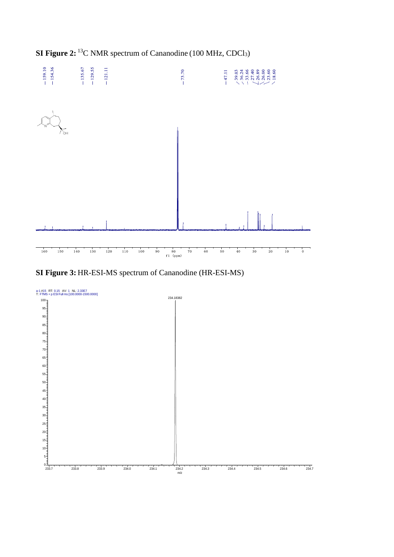

**SI Figure 3:** HR-ESI-MS spectrum of Cananodine (HR-ESI-MS)

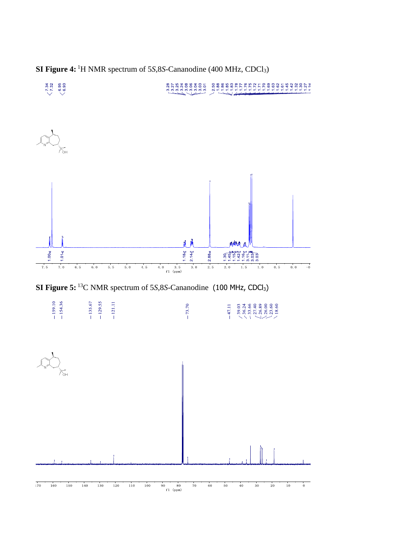

**SI Figure 4:** <sup>1</sup>H NMR spectrum of 5*S*,8*S*-Cananodine (400 MHz, CDCl3)

**SI Figure 5:** <sup>13</sup>C NMR spectrum of 5*S*, 8*S*-Cananodine (100 MHz, CDCl<sub>3</sub>)

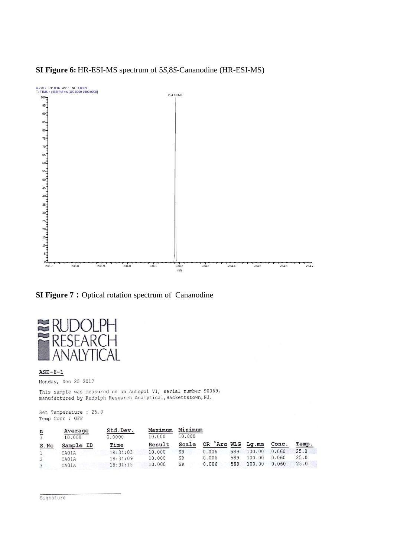

## **SI Figure 6:** HR-ESI-MS spectrum of 5*S*,8*S*-Cananodine (HR-ESI-MS)

**SI Figure 7 :** Optical rotation spectrum of Cananodine



#### $ASE-6-1$

Monday, Dec 25 2017

This sample was measured on an Autopol VI, serial number 90069, manufactured by Rudolph Research Analytical, Hackettstown, NJ.

Set Temperature : 25.0 Temp Corr : OFF

|               | Average   | Std.Dev. | Maximum | Minimum   |                               |     |        |       |       |
|---------------|-----------|----------|---------|-----------|-------------------------------|-----|--------|-------|-------|
| $\frac{n}{3}$ | 10,000    | 0.0000   | 10,000  | 10,000    |                               |     |        |       |       |
| S.No          | Sample ID | Time     | Result  | Scale     | OR <sup>o</sup> Arc WLG Lg.mm |     |        | Conc. | Temp. |
|               | CA01A     | 18:34:03 | 10,000  | <b>SR</b> | 0.006                         | 589 | 100.00 | 0.060 | 25.0  |
|               | CA01A     | 18:34:09 | 10,000  | SR        | 0.006                         | 589 | 100.00 | 0.060 | 25.0  |
|               | CA01A     | 18:34:15 | 10,000  | <b>SR</b> | 0.006                         | 589 | 100.00 | 0.060 | 25.0  |

Signature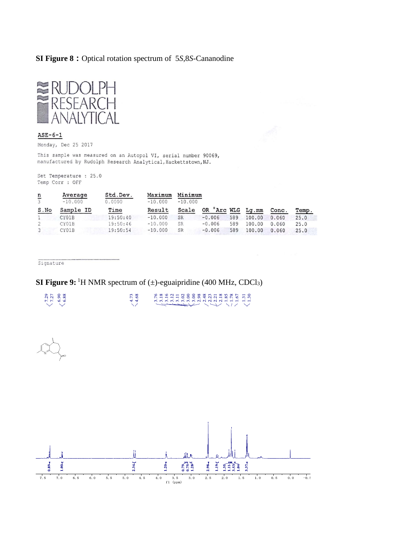### **SI Figure 8:**Optical rotation spectrum of 5*S*,8*S*-Cananodine



#### $ASE-6-1$

Monday, Dec 25 2017

This sample was measured on an Autopol VI, serial number 90069, manufactured by Rudolph Research Analytical, Hackettstown, NJ.

Set Temperature : 25.0 Temp Corr : OFF

| $\frac{n}{3}$ | Average<br>$-10.000$ | Std.Dev.<br>0.0000 | Maximum<br>$-10.000$ | Minimum<br>$-10.000$ |                               |     |        |       |       |  |
|---------------|----------------------|--------------------|----------------------|----------------------|-------------------------------|-----|--------|-------|-------|--|
|               |                      |                    |                      |                      |                               |     |        |       |       |  |
| S.No          | Sample ID            | Time               | Result               | Scale                | OR <sup>°</sup> Arc WLG Lg.mm |     |        | Conc. | Temp. |  |
|               | CY01B                | 19:50:40           | $-10.000$            | SR                   | $-0.006$                      | 589 | 100.00 | 0.060 | 25.0  |  |
|               | CY01B                | 19:50:46           | $-10.000$            | SR                   | $-0.006$                      | 589 | 100.00 | 0.060 | 25.0  |  |
| 3             | CY01B                | 19:50:54           | $-10.000$            | SR                   | $-0.006$                      | 589 | 100,00 | 0.060 | 25.0  |  |

Signature

 $7.29$ <br>  $7.27$ <br>  $6.88$ <br>  $6.88$ 

# **SI Figure 9:**<sup>1</sup>H NMR spectrum of ( $\pm$ )-eguaipridine (400 MHz, CDCl<sub>3</sub>)

 $-4.73$